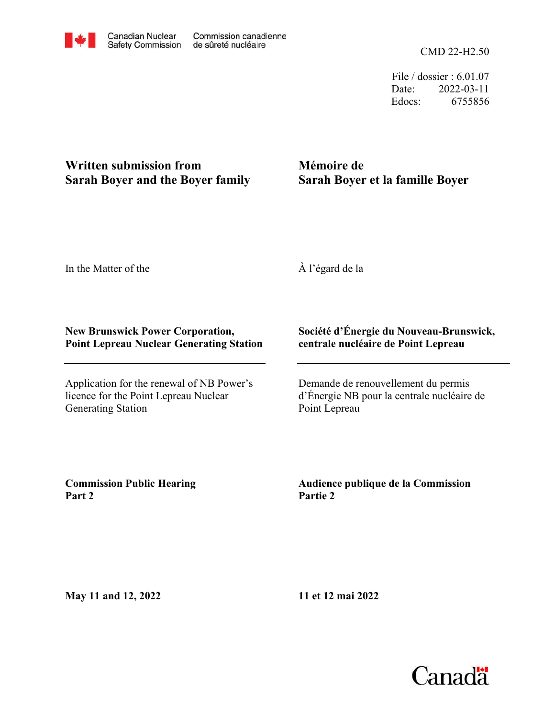CMD 22-H2.50

File / dossier : 6.01.07 Date: 2022-03-11 Edocs: 6755856

## **Written submission from Sarah Boyer and the Boyer family**

## **Mémoire de Sarah Boyer et la famille Boyer**

In the Matter of the

À l'égard de la

## **New Brunswick Power Corporation, Point Lepreau Nuclear Generating Station**

Application for the renewal of NB Power's licence for the Point Lepreau Nuclear Generating Station

## **Société d'Énergie du Nouveau-Brunswick, centrale nucléaire de Point Lepreau**

Demande de renouvellement du permis d'Énergie NB pour la centrale nucléaire de Point Lepreau

**Commission Public Hearing Part 2**

**Audience publique de la Commission Partie 2**

**May 11 and 12, 2022**

**11 et 12 mai 2022**